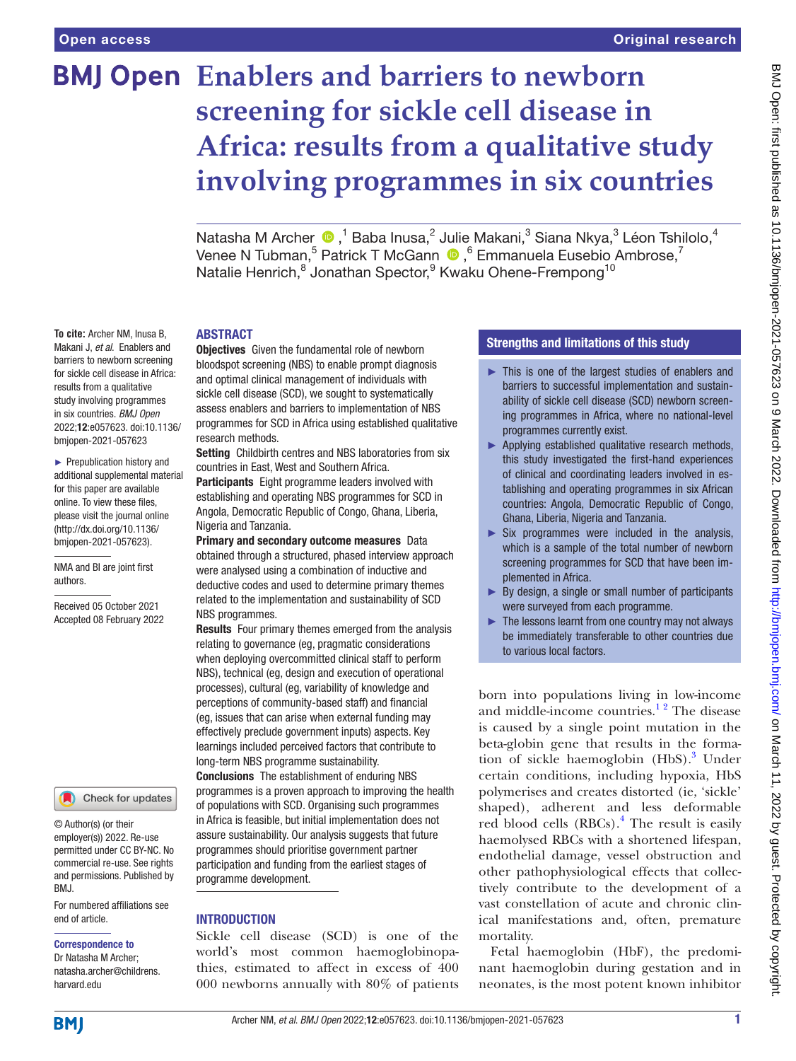**To cite:** Archer NM, Inusa B, Makani J, *et al*. Enablers and barriers to newborn screening for sickle cell disease in Africa: results from a qualitative study involving programmes in six countries. *BMJ Open* 2022;12:e057623. doi:10.1136/ bmjopen-2021-057623 ► Prepublication history and additional supplemental material for this paper are available online. To view these files, please visit the journal online [\(http://dx.doi.org/10.1136/](http://dx.doi.org/10.1136/bmjopen-2021-057623) [bmjopen-2021-057623](http://dx.doi.org/10.1136/bmjopen-2021-057623)). NMA and BI are joint first

# **BMJ Open Enablers and barriers to newborn screening for sickle cell disease in Africa: results from a qualitative study involving programmes in six countries**

Natasha M Archer  $\bigcirc$ ,<sup>1</sup> Baba Inusa,<sup>2</sup> Julie Makani,<sup>3</sup> Siana Nkya,<sup>3</sup> Léon Tshilolo,<sup>4</sup> VeneeN Tubman,<sup>5</sup> Patrick T McGann  $\bullet$  ,<sup>6</sup> Emmanuela Eusebio Ambrose,<sup>7</sup> Natalie Henrich,<sup>8</sup> Jonathan Spector,<sup>9</sup> Kwaku Ohene-Frempong<sup>10</sup>

#### ABSTRACT

**Objectives** Given the fundamental role of newborn bloodspot screening (NBS) to enable prompt diagnosis and optimal clinical management of individuals with sickle cell disease (SCD), we sought to systematically assess enablers and barriers to implementation of NBS programmes for SCD in Africa using established qualitative research methods.

Setting Childbirth centres and NBS laboratories from six countries in East, West and Southern Africa.

Participants Eight programme leaders involved with establishing and operating NBS programmes for SCD in Angola, Democratic Republic of Congo, Ghana, Liberia, Nigeria and Tanzania.

Primary and secondary outcome measures Data obtained through a structured, phased interview approach were analysed using a combination of inductive and deductive codes and used to determine primary themes related to the implementation and sustainability of SCD NBS programmes.

Results Four primary themes emerged from the analysis relating to governance (eg, pragmatic considerations when deploying overcommitted clinical staff to perform NBS), technical (eg, design and execution of operational processes), cultural (eg, variability of knowledge and perceptions of community-based staff) and financial (eg, issues that can arise when external funding may effectively preclude government inputs) aspects. Key learnings included perceived factors that contribute to long-term NBS programme sustainability.

Conclusions The establishment of enduring NBS programmes is a proven approach to improving the health of populations with SCD. Organising such programmes in Africa is feasible, but initial implementation does not assure sustainability. Our analysis suggests that future programmes should prioritise government partner participation and funding from the earliest stages of programme development.

### **INTRODUCTION**

Sickle cell disease (SCD) is one of the world's most common haemoglobinopathies, estimated to affect in excess of 400 000 newborns annually with 80% of patients

#### Strengths and limitations of this study

- ► This is one of the largest studies of enablers and barriers to successful implementation and sustainability of sickle cell disease (SCD) newborn screening programmes in Africa, where no national-level programmes currently exist.
- ► Applying established qualitative research methods, this study investigated the first-hand experiences of clinical and coordinating leaders involved in establishing and operating programmes in six African countries: Angola, Democratic Republic of Congo, Ghana, Liberia, Nigeria and Tanzania.
- $\triangleright$  Six programmes were included in the analysis, which is a sample of the total number of newborn screening programmes for SCD that have been implemented in Africa.
- ► By design, a single or small number of participants were surveyed from each programme.
- The lessons learnt from one country may not always be immediately transferable to other countries due to various local factors.

born into populations living in low-income and middle-income countries.<sup>12</sup> The disease is caused by a single point mutation in the beta-globin gene that results in the forma-tion of sickle haemoglobin (HbS).<sup>[3](#page-8-1)</sup> Under certain conditions, including hypoxia, HbS polymerises and creates distorted (ie, 'sickle' shaped), adherent and less deformable red blood cells (RBCs).<sup>[4](#page-8-2)</sup> The result is easily haemolysed RBCs with a shortened lifespan, endothelial damage, vessel obstruction and other pathophysiological effects that collectively contribute to the development of a vast constellation of acute and chronic clinical manifestations and, often, premature mortality.

Fetal haemoglobin (HbF), the predominant haemoglobin during gestation and in neonates, is the most potent known inhibitor

# © Author(s) (or their

authors.

Received 05 October 2021 Accepted 08 February 2022

employer(s)) 2022. Re-use permitted under CC BY-NC. No commercial re-use. See rights and permissions. Published by BMJ.

Check for updates

For numbered affiliations see end of article.

#### Correspondence to

Dr Natasha M Archer; natasha.archer@childrens. harvard.edu

**BMI**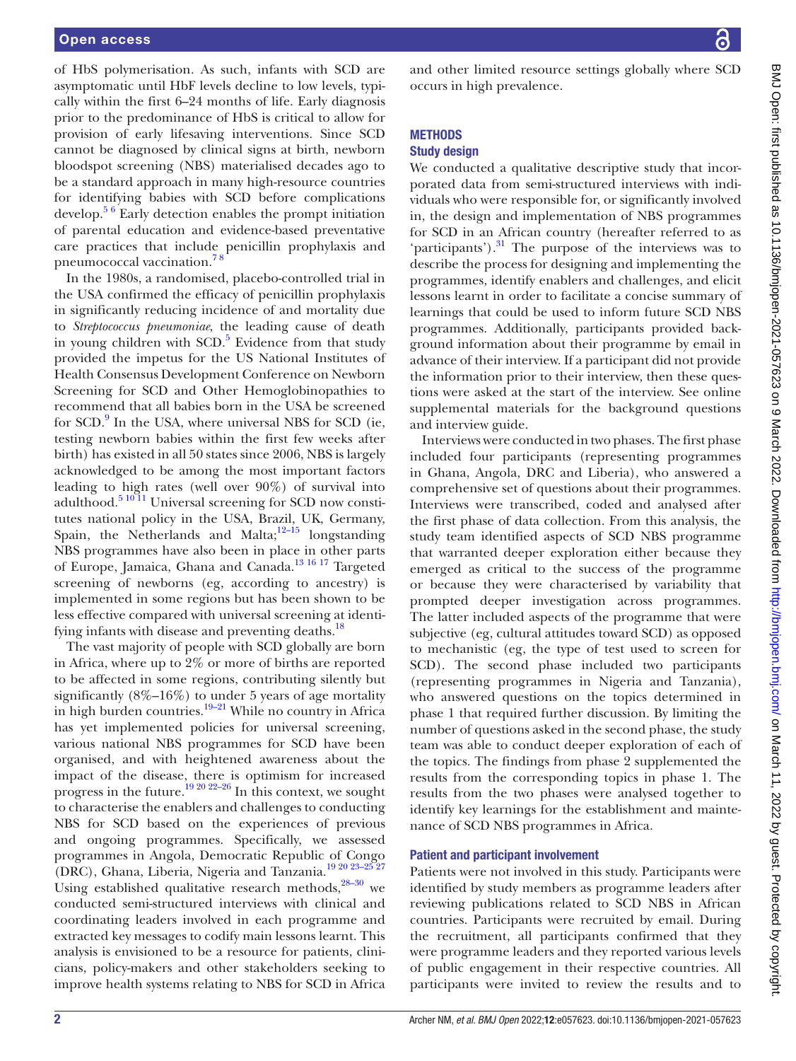of HbS polymerisation. As such, infants with SCD are asymptomatic until HbF levels decline to low levels, typically within the first 6–24 months of life. Early diagnosis prior to the predominance of HbS is critical to allow for provision of early lifesaving interventions. Since SCD cannot be diagnosed by clinical signs at birth, newborn bloodspot screening (NBS) materialised decades ago to be a standard approach in many high-resource countries for identifying babies with SCD before complications develop. $56$  Early detection enables the prompt initiation of parental education and evidence-based preventative care practices that include penicillin prophylaxis and pneumococcal vaccination.[7 8](#page-8-4)

In the 1980s, a randomised, placebo-controlled trial in the USA confirmed the efficacy of penicillin prophylaxis in significantly reducing incidence of and mortality due to *Streptococcus pneumoniae*, the leading cause of death in young children with SCD.<sup>[5](#page-8-3)</sup> Evidence from that study provided the impetus for the US National Institutes of Health Consensus Development Conference on Newborn Screening for SCD and Other Hemoglobinopathies to recommend that all babies born in the USA be screened for SCD.<sup>[9](#page-8-5)</sup> In the USA, where universal NBS for SCD (ie, testing newborn babies within the first few weeks after birth) has existed in all 50 states since 2006, NBS is largely acknowledged to be among the most important factors leading to high rates (well over 90%) of survival into adulthood. $5^{10\bar{1}1}$  Universal screening for SCD now constitutes national policy in the USA, Brazil, UK, Germany, Spain, the Netherlands and Malta; $12-15$  longstanding NBS programmes have also been in place in other parts of Europe, Jamaica, Ghana and Canada[.13 16 17](#page-9-1) Targeted screening of newborns (eg, according to ancestry) is implemented in some regions but has been shown to be less effective compared with universal screening at identifying infants with disease and preventing deaths. $18$ 

The vast majority of people with SCD globally are born in Africa, where up to 2% or more of births are reported to be affected in some regions, contributing silently but significantly  $(8\%-16\%)$  to under 5 years of age mortality in high burden countries.<sup>19–21</sup> While no country in Africa has yet implemented policies for universal screening, various national NBS programmes for SCD have been organised, and with heightened awareness about the impact of the disease, there is optimism for increased progress in the future.<sup>19 20 22–26</sup> In this context, we sought to characterise the enablers and challenges to conducting NBS for SCD based on the experiences of previous and ongoing programmes. Specifically, we assessed programmes in Angola, Democratic Republic of Congo (DRC), Ghana, Liberia, Nigeria and Tanzania[.19 20 23–25 27](#page-9-3) Using established qualitative research methods, $28-30$  we conducted semi-structured interviews with clinical and coordinating leaders involved in each programme and extracted key messages to codify main lessons learnt. This analysis is envisioned to be a resource for patients, clinicians, policy-makers and other stakeholders seeking to improve health systems relating to NBS for SCD in Africa

and other limited resource settings globally where SCD occurs in high prevalence.

# **METHODS**

# Study design

We conducted a qualitative descriptive study that incorporated data from semi-structured interviews with individuals who were responsible for, or significantly involved in, the design and implementation of NBS programmes for SCD in an African country (hereafter referred to as 'participants').<sup>31</sup> The purpose of the interviews was to describe the process for designing and implementing the programmes, identify enablers and challenges, and elicit lessons learnt in order to facilitate a concise summary of learnings that could be used to inform future SCD NBS programmes. Additionally, participants provided background information about their programme by email in advance of their interview. If a participant did not provide the information prior to their interview, then these questions were asked at the start of the interview. See [online](https://dx.doi.org/10.1136/bmjopen-2021-057623)  [supplemental materials](https://dx.doi.org/10.1136/bmjopen-2021-057623) for the background questions and interview guide.

Interviews were conducted in two phases. The first phase included four participants (representing programmes in Ghana, Angola, DRC and Liberia), who answered a comprehensive set of questions about their programmes. Interviews were transcribed, coded and analysed after the first phase of data collection. From this analysis, the study team identified aspects of SCD NBS programme that warranted deeper exploration either because they emerged as critical to the success of the programme or because they were characterised by variability that prompted deeper investigation across programmes. The latter included aspects of the programme that were subjective (eg, cultural attitudes toward SCD) as opposed to mechanistic (eg, the type of test used to screen for SCD). The second phase included two participants (representing programmes in Nigeria and Tanzania), who answered questions on the topics determined in phase 1 that required further discussion. By limiting the number of questions asked in the second phase, the study team was able to conduct deeper exploration of each of the topics. The findings from phase 2 supplemented the results from the corresponding topics in phase 1. The results from the two phases were analysed together to identify key learnings for the establishment and maintenance of SCD NBS programmes in Africa.

#### Patient and participant involvement

Patients were not involved in this study. Participants were identified by study members as programme leaders after reviewing publications related to SCD NBS in African countries. Participants were recruited by email. During the recruitment, all participants confirmed that they were programme leaders and they reported various levels of public engagement in their respective countries. All participants were invited to review the results and to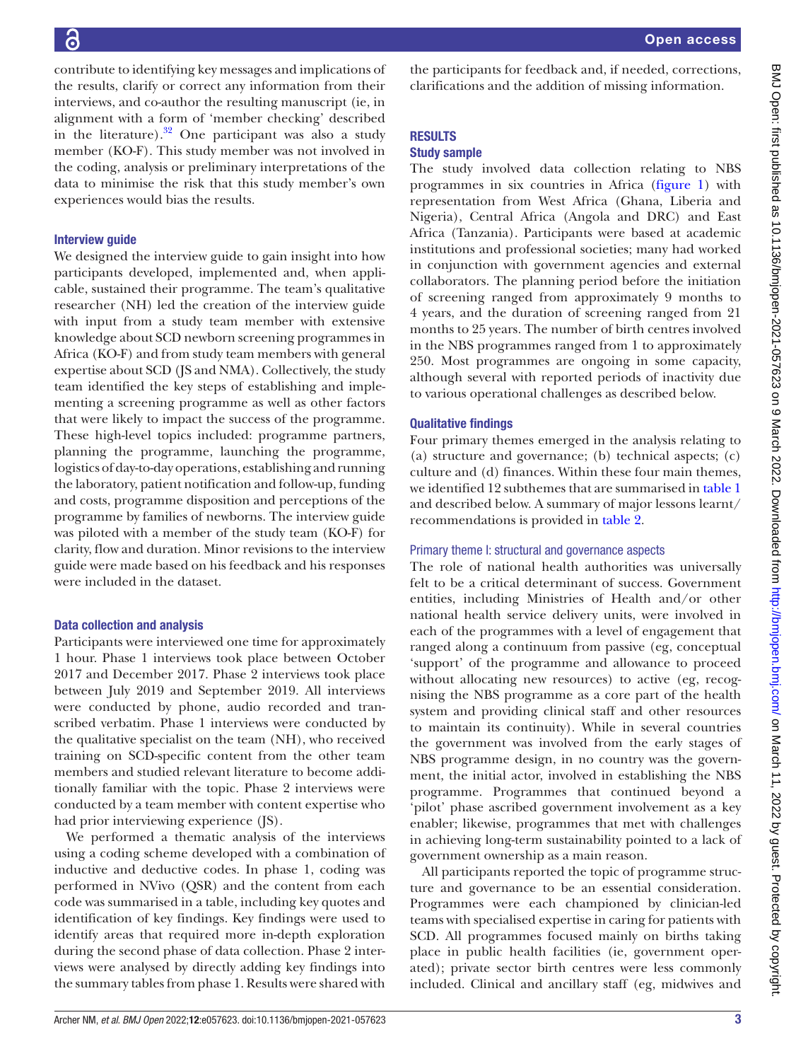contribute to identifying key messages and implications of the results, clarify or correct any information from their interviews, and co-author the resulting manuscript (ie, in alignment with a form of 'member checking' described in the literature). $32$  One participant was also a study member (KO-F). This study member was not involved in the coding, analysis or preliminary interpretations of the data to minimise the risk that this study member's own experiences would bias the results.

## Interview guide

We designed the interview guide to gain insight into how participants developed, implemented and, when applicable, sustained their programme. The team's qualitative researcher (NH) led the creation of the interview guide with input from a study team member with extensive knowledge about SCD newborn screening programmes in Africa (KO-F) and from study team members with general expertise about SCD (JS and NMA). Collectively, the study team identified the key steps of establishing and implementing a screening programme as well as other factors that were likely to impact the success of the programme. These high-level topics included: programme partners, planning the programme, launching the programme, logistics of day-to-day operations, establishing and running the laboratory, patient notification and follow-up, funding and costs, programme disposition and perceptions of the programme by families of newborns. The interview guide was piloted with a member of the study team (KO-F) for clarity, flow and duration. Minor revisions to the interview guide were made based on his feedback and his responses were included in the dataset.

# Data collection and analysis

Participants were interviewed one time for approximately 1 hour. Phase 1 interviews took place between October 2017 and December 2017. Phase 2 interviews took place between July 2019 and September 2019. All interviews were conducted by phone, audio recorded and transcribed verbatim. Phase 1 interviews were conducted by the qualitative specialist on the team (NH), who received training on SCD-specific content from the other team members and studied relevant literature to become additionally familiar with the topic. Phase 2 interviews were conducted by a team member with content expertise who had prior interviewing experience (JS).

We performed a thematic analysis of the interviews using a coding scheme developed with a combination of inductive and deductive codes. In phase 1, coding was performed in NVivo (QSR) and the content from each code was summarised in a table, including key quotes and identification of key findings. Key findings were used to identify areas that required more in-depth exploration during the second phase of data collection. Phase 2 interviews were analysed by directly adding key findings into the summary tables from phase 1. Results were shared with

the participants for feedback and, if needed, corrections, clarifications and the addition of missing information.

# RESULTS

# Study sample

The study involved data collection relating to NBS programmes in six countries in Africa [\(figure](#page-3-0) 1) with representation from West Africa (Ghana, Liberia and Nigeria), Central Africa (Angola and DRC) and East Africa (Tanzania). Participants were based at academic institutions and professional societies; many had worked in conjunction with government agencies and external collaborators. The planning period before the initiation of screening ranged from approximately 9 months to 4 years, and the duration of screening ranged from 21 months to 25 years. The number of birth centres involved in the NBS programmes ranged from 1 to approximately 250. Most programmes are ongoing in some capacity, although several with reported periods of inactivity due to various operational challenges as described below.

# Qualitative findings

Four primary themes emerged in the analysis relating to (a) structure and governance; (b) technical aspects; (c) culture and (d) finances. Within these four main themes, we identified 12 subthemes that are summarised in [table](#page-4-0) 1 and described below. A summary of major lessons learnt/ recommendations is provided in [table](#page-5-0) 2.

# Primary theme I: structural and governance aspects

The role of national health authorities was universally felt to be a critical determinant of success. Government entities, including Ministries of Health and/or other national health service delivery units, were involved in each of the programmes with a level of engagement that ranged along a continuum from passive (eg, conceptual 'support' of the programme and allowance to proceed without allocating new resources) to active (eg, recognising the NBS programme as a core part of the health system and providing clinical staff and other resources to maintain its continuity). While in several countries the government was involved from the early stages of NBS programme design, in no country was the government, the initial actor, involved in establishing the NBS programme. Programmes that continued beyond a 'pilot' phase ascribed government involvement as a key enabler; likewise, programmes that met with challenges in achieving long-term sustainability pointed to a lack of government ownership as a main reason.

All participants reported the topic of programme structure and governance to be an essential consideration. Programmes were each championed by clinician-led teams with specialised expertise in caring for patients with SCD. All programmes focused mainly on births taking place in public health facilities (ie, government operated); private sector birth centres were less commonly included. Clinical and ancillary staff (eg, midwives and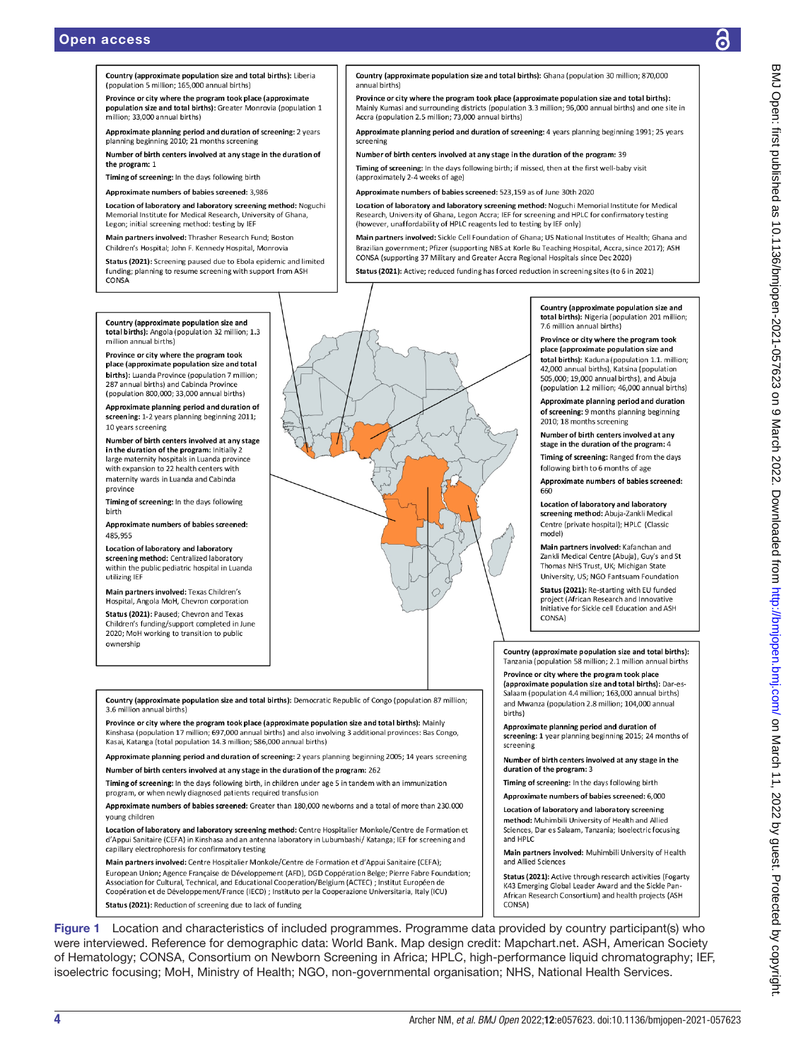Country (approximate population size and total births): Liberia (population 5 million: 165,000 annual births)

Province or city where the program took place (approximate population size and total births): Greater Monrovia (population 1 million; 33,000 annual births)

Approximate planning period and duration of screening: 2 years planning beginning 2010; 21 months screening

Number of birth centers involved at any stage in the duration of the program: 1

Timing of screening: In the days following birth

Approximate numbers of babies screened: 3,986

Location of laboratory and laboratory screening method: Noguchi Memorial Institute for Medical Research, University of Ghana, Legon: initial screening method: testing by IEF

Main partners involved: Thrasher Research Fund: Boston Children's Hospital; John F. Kennedy Hospital, Monrovia

Status (2021): Screening paused due to Ebola epidemic and limited Jean-off Containing to resume screening with support from ASH<br>funding; planning to resume screening with support from ASH

Country (approximate population size and total births): Ghana (population 30 million: 870,000)

Province or city where the program took place (approximate population size and total births): Mainly Kumasi and surrounding districts (population 3.3 million; 96,000 annual births) and one site in Accra (population 2.5 million: 73,000 annual births)

Approximate planning period and duration of screening: 4 years planning beginning 1991; 25 years .<br>eening

Number of birth centers involved at any stage in the duration of the program: 39

Timing of screening: In the days following birth: if missed, then at the first well-baby visit (approximately 2-4 weeks of age)

Approximate numbers of babies screened: 523,159 as of June 30th 2020

Location of laboratory and laboratory screening method: Noguchi Memorial Institute for Medical Research, University of Ghana, Legon Accra; IEF for screening and HPLC for confirmatory testing (however, unaffordability of HPLC reagents led to testing by IEF only)

Main partners involved: Sickle Cell Foundation of Ghana: US National Institutes of Health: Ghana and Brazilian government; Pfizer (supporting NBS at Korle Bu Teaching Hospital, Accra, since 2017); ASH CONSA (supporting 37 Military and Greater Accra Regional Hospitals since Dec 2020)

Status (2021): Active; reduced funding has forced reduction in screening sites (to 6 in 2021)

Country (approximate population size and total births): Angola (population 32 million; 1.3 million annual births)

Province or city where the program took place (approximate population size and total births): Luanda Province (population 7 million; 287 annual births) and Cabinda Province (population 800,000; 33,000 annual births)

Approximate planning period and duration of screening: 1-2 years planning beginning 2011; 10 years screening

Number of birth centers involved at any stage in the duration of the program: Initially 2 large maternity hospitals in Luanda province with expansion to 22 health centers with maternity wards in Luanda and Cabinda province

Timing of screening: In the days following hirth

Approximate numbers of babies screened: 485.955

Location of laboratory and laboratory screening method: Centralized laboratory within the public pediatric hospital in Luanda utilizing IEF

Main partners involved: Texas Children's Hospital, Angola MoH, Chevron corporation

Status (2021): Paused: Chevron and Texas Children's funding/support completed in June 2020; MoH working to transition to public ownership

Country (approximate population size and total births): Democratic Republic of Congo (population 87 million; 3.6 million annual births

Province or city where the program took place (approximate population size and total births): Mainly Kinshasa (population 17 million; 697,000 annual births) and also involving 3 additional provinces: Bas Congo, Kasai, Katanga (total population 14.3 million; 586,000 annual births)

Approximate planning period and duration of screening: 2 years planning beginning 2005; 14 years screening Number of birth centers involved at any stage in the duration of the program: 262

Timing of screening: In the days following birth, in children under age 5 in tandem with an immunization program, or when newly diagnosed patients required transfusion

Approximate numbers of babies screened: Greater than 180,000 newborns and a total of more than 230.000 young children

Location of laboratory and laboratory screening method: Centre Hospitalier Monkole/Centre de Formation et d'Appui Sanitaire (CEFA) in Kinshasa and an antenna laboratory in Lubumbashi/ Katanga; IEF for screening and capillary electrophoresis for confirmatory testing

<span id="page-3-0"></span>Main partners involved: Centre Hospitalier Monkole/Centre de Formation et d'Appui Sanitaire (CEFA); European Union; Agence Française de Développement (AFD), DGD Coppération Belge; Pierre Fabre Foundation; Association for Cultural, Technical, and Educational Cooperation/Belgium (ACTEC) ; Institut Européen de Coopération et de Développement/France (IECD) ; Instituto per la Cooperazione Universitaria, Italy (ICU) Status (2021): Reduction of screening due to lack of funding

Figure 1 Location and characteristics of included programmes. Programme data provided by country participant(s) who were interviewed. Reference for demographic data: World Bank. Map design credit: Mapchart.net. ASH, American Society of Hematology; CONSA, Consortium on Newborn Screening in Africa; HPLC, high-performance liquid chromatography; IEF, isoelectric focusing; MoH, Ministry of Health; NGO, non-governmental organisation; NHS, National Health Services.



Country (approximate population size and total births): Nigeria (population 201 million; 7.6 million annual births) Province or city where the program took

place (approximate population size and total births): Kaduna (population 1.1. million; 42,000 annual births), Katsina (population 505,000; 19,000 annual births), and Abuja (population 1.2 million; 46,000 annual births)

Approximate planning period and duration of screening: 9 months planning beginning 2010; 18 months screening

Number of birth centers involved at any stage in the duration of the program: 4

Timing of screening: Ranged from the days

following birth to 6 months of age Approximate numbers of babies screened: 660

Location of laboratory and laboratory

screening method: Abuja-Zankli Medical Centre (private hospital): HPLC (Classic model)

Main partners involved: Kafanchan and Zankli Medical Centre (Abuja), Guy's and St Thomas NHS Trust, UK; Michigan State University, US: NGO Fantsuam Foundation

Status (2021): Re-starting with EU funded project (African Research and Innovative Initiative for Sickle cell Education and ASH CONSA)

Country (approximate population size and total births): Tanzania (population 58 million; 2.1 million annual births

Province or city where the program took place (approximate population size and total births): Dar-es-Salaam (population 4.4 million; 163,000 annual births) and Mwanza (population 2.8 million; 104,000 annual births)

Approximate planning period and duration of screening: 1 year planning beginning 2015; 24 months of screening

Number of birth centers involved at any stage in the duration of the program: 3

Timing of screening: In the days following birth

Approximate numbers of babies screened: 6,000

Location of laboratory and laboratory screening

method: Muhimbili University of Health and Allied Sciences, Dar es Salaam, Tanzania; Isoelectric focusing and HPLC

Main partners involved: Muhimbili University of Health and Allied Sciences

Status (2021): Active through research activities (Fogarty K43 Emerging Global Leader Award and the Sickle Pan African Research Consortium) and health projects (ASH CONSA)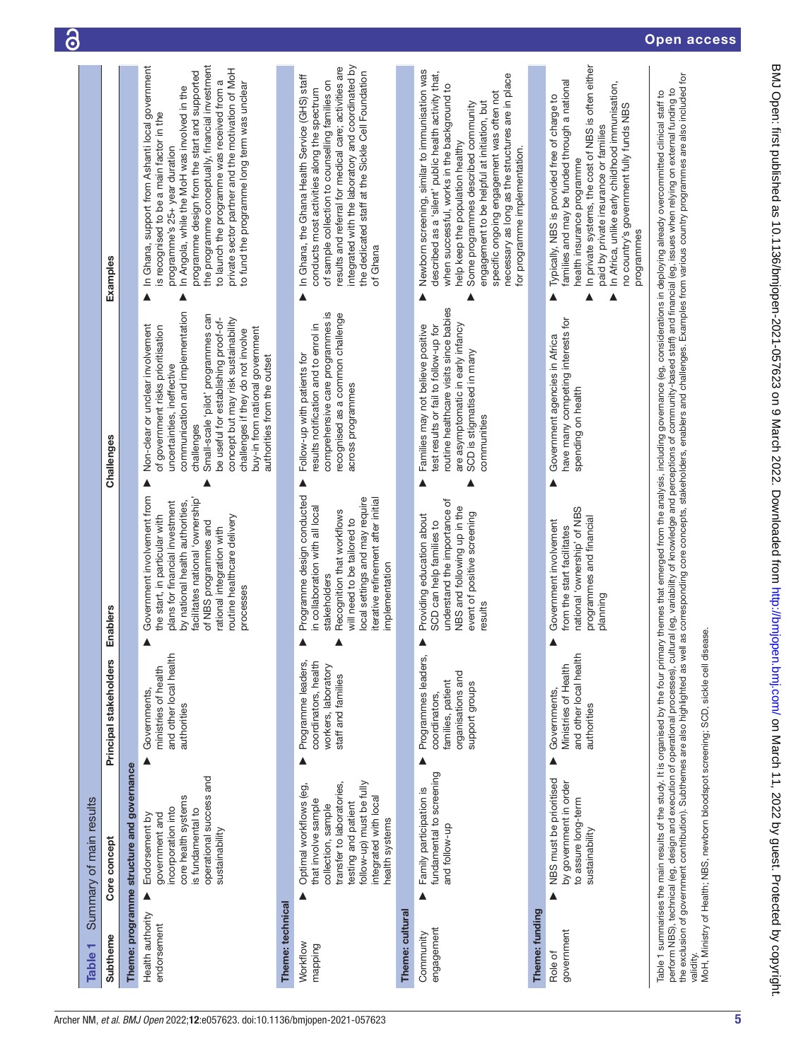| Theme: programme structure and governance<br>▲<br>Health authority<br>endorsement | Core concept                                                                                                                                                                                   | Principal stakeholders                                                                                                                                                                                                                                               | Enablers                                                                                                                                                                                                                                                                     | Challenges                                                                                                                                                                                                                                                                                                                                                                                   | Examples                                                                                                                                                                                                                                                                                                                                                                                                                                                         |
|-----------------------------------------------------------------------------------|------------------------------------------------------------------------------------------------------------------------------------------------------------------------------------------------|----------------------------------------------------------------------------------------------------------------------------------------------------------------------------------------------------------------------------------------------------------------------|------------------------------------------------------------------------------------------------------------------------------------------------------------------------------------------------------------------------------------------------------------------------------|----------------------------------------------------------------------------------------------------------------------------------------------------------------------------------------------------------------------------------------------------------------------------------------------------------------------------------------------------------------------------------------------|------------------------------------------------------------------------------------------------------------------------------------------------------------------------------------------------------------------------------------------------------------------------------------------------------------------------------------------------------------------------------------------------------------------------------------------------------------------|
|                                                                                   |                                                                                                                                                                                                |                                                                                                                                                                                                                                                                      |                                                                                                                                                                                                                                                                              |                                                                                                                                                                                                                                                                                                                                                                                              |                                                                                                                                                                                                                                                                                                                                                                                                                                                                  |
|                                                                                   | operational success and<br>core health systems<br>incorporation into<br>is fundamental to<br>government and<br>Endorsement by<br>sustainability                                                | and other local health<br>ministries of health<br>Governments,<br>authorities                                                                                                                                                                                        | Government involvement from<br>facilitates national 'ownership'<br>by national health authorities,<br>plans for financial investment<br>the start, in particular with<br>routine healthcare delivery<br>of NBS programmes and<br>rational integration with<br>processes<br>▲ | communication and implementation<br>Small-scale 'pilot' programmes can<br>concept but may risk sustainability<br>be useful for establishing proof-of-<br>Non-clear or unclear involvement<br>of government risks prioritisation<br>buy-in from national government<br>challenges if they do not involve<br>authorities from the outset<br>uncertainties, ineffective<br>challenges<br>▲<br>▲ | the programme conceptually, financial investment<br>In Ghana, support from Ashanti local government<br>private sector partner and the motivation of MoH<br>programme design from the start and supported<br>to launch the programme was received from a<br>to fund the programme long term was unclear<br>In Angola, while the MoH was involved in the<br>is recognised to be a main factor in the<br>programme's 25+ year duration<br>▲<br>▲                    |
| Theme: technical                                                                  |                                                                                                                                                                                                |                                                                                                                                                                                                                                                                      |                                                                                                                                                                                                                                                                              |                                                                                                                                                                                                                                                                                                                                                                                              |                                                                                                                                                                                                                                                                                                                                                                                                                                                                  |
| Workflow<br>mapping                                                               | follow-up) must be fully<br>transfer to laboratories,<br>Optimal workflows (eg,<br>integrated with local<br>that involve sample<br>testing and patient<br>collection, sample<br>health systems | Programme leaders,<br>coordinators, health<br>workers, laboratory<br>staff and families                                                                                                                                                                              | Programme design conducted<br>iterative refinement after initial<br>local settings and may require<br>in collaboration with all local<br>Recognition that workflows<br>will need to be tailored to<br>implementation<br>stakeholders<br>▲                                    | comprehensive care programmes is<br>recognised as a common challenge<br>results notification and to enrol in<br>Follow-up with patients for<br>across programmes<br>▲                                                                                                                                                                                                                        | integrated with the laboratory and coordinated by<br>results and referral for medical care; activities are<br>the dedicated staff at the Sickle Cell Foundation<br>In Ghana, the Ghana Health Service (GHS) staff<br>of sample collection to counselling families on<br>conducts most activities along the spectrum<br>of Ghana<br>▲                                                                                                                             |
| Theme: cultural                                                                   |                                                                                                                                                                                                |                                                                                                                                                                                                                                                                      |                                                                                                                                                                                                                                                                              |                                                                                                                                                                                                                                                                                                                                                                                              |                                                                                                                                                                                                                                                                                                                                                                                                                                                                  |
| Δ<br>engagement<br>Community                                                      | fundamental to screening<br>Family participation is<br>and follow-up                                                                                                                           | Programmes leaders,<br>organisations and<br>families, patient<br>support groups<br>coordinators,                                                                                                                                                                     | understand the importance of<br>NBS and following up in the<br>event of positive screening<br>Providing education about<br>SCD can help families to<br>esults<br>▴                                                                                                           | routine healthcare visits since babies<br>are asymptomatic in early infancy<br>test results or fail to follow-up for<br>Families may not believe positive<br>SCD is stigmatised in many<br>communities<br>▲                                                                                                                                                                                  | Newborn screening, similar to immunisation was<br>described as a 'silent' public health activity that,<br>necessary as long as the structures are in place<br>when successful, works in the background to<br>specific ongoing engagement was often not<br>engagement to be helpful at initiation, but<br>Some programmes described community<br>help keep the population healthy<br>for programme implementation.                                                |
| Theme: funding                                                                    |                                                                                                                                                                                                |                                                                                                                                                                                                                                                                      |                                                                                                                                                                                                                                                                              |                                                                                                                                                                                                                                                                                                                                                                                              |                                                                                                                                                                                                                                                                                                                                                                                                                                                                  |
| government<br>Role of                                                             | NBS must be prioritised<br>by government in order<br>to assure long-term<br>sustainability                                                                                                     | and other local health<br>Ministries of Health<br>Governments,<br>authorities                                                                                                                                                                                        | national 'ownership' of NBS<br>programmes and financial<br>Government involvement<br>from the start facilitates<br>planning<br>▲                                                                                                                                             | have many competing interests for<br>Government agencies in Africa<br>spending on health<br>Δ                                                                                                                                                                                                                                                                                                | In private systems, the cost of NBS is often either<br>families and may be funded through a national<br>In Africa, unlike early childhood immunisation,<br>Typically, NBS is provided free of charge to<br>no country's government fully funds NBS<br>paid by private insurance or families<br>health insurance programme<br>programmes<br>▲                                                                                                                     |
| validity.                                                                         |                                                                                                                                                                                                | MoH, Ministry of Health; NBS, newborn bloodspot screening; SCD, sickle cell disease<br>perform NBS), technical (eg, design and execution of operational processes), cultural<br>the exclusion of government contribution). Subthemes are also highlighted as well as |                                                                                                                                                                                                                                                                              |                                                                                                                                                                                                                                                                                                                                                                                              | (eg, variability of knowledge and perceptions of community-based staff) and financial (eg, issues when relying on external funding to<br>corresponding core concepts, stakeholders, enablers and challenges. Examples from variou<br>Table 1 summarises the main results of the study. It is organised by the four primary themes that ennerged from the analysis, including governance (eg, considerations in deploying already overcommitted clinical staff to |

<span id="page-4-0"></span>5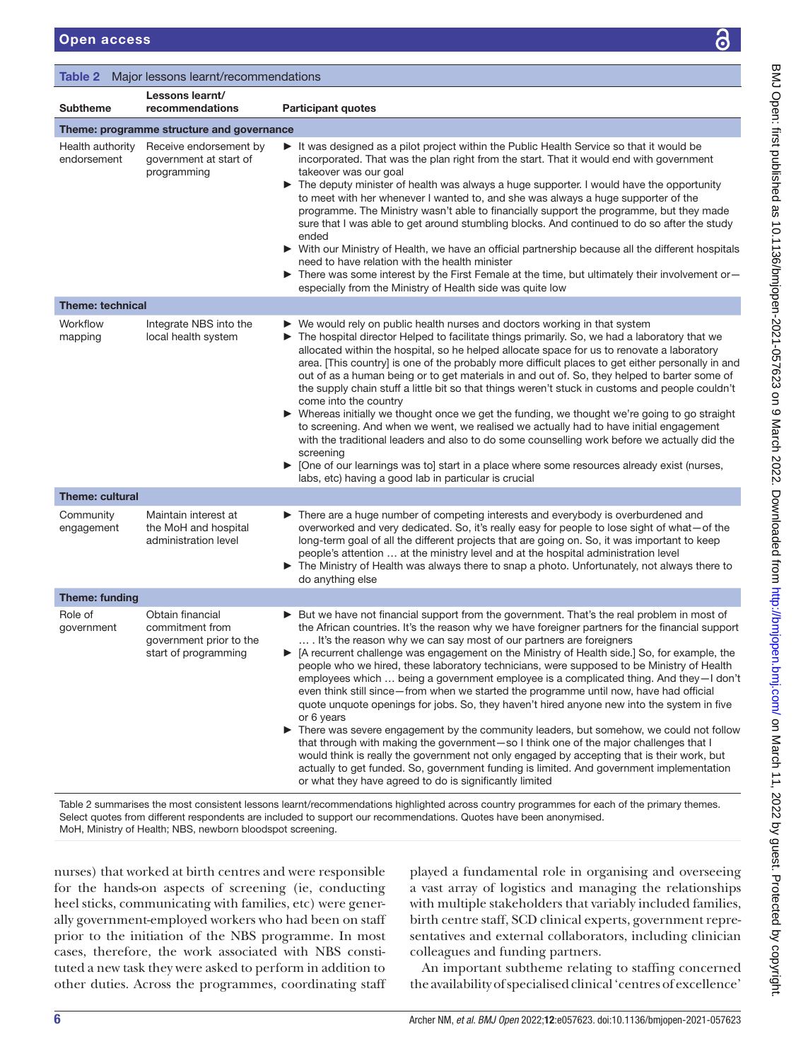<span id="page-5-0"></span>Table 2 Major lessons learnt/recommendations

| <b>Subtheme</b>                           | Lessons learnt/<br>recommendations                                                     | <b>Participant quotes</b>                                                                                                                                                                                                                                                                                                                                                                                                                                                                                                                                                                                                                                                                                                                                                                                                                                                                                                                                                                                                                                                                                                                                                                                   |  |  |
|-------------------------------------------|----------------------------------------------------------------------------------------|-------------------------------------------------------------------------------------------------------------------------------------------------------------------------------------------------------------------------------------------------------------------------------------------------------------------------------------------------------------------------------------------------------------------------------------------------------------------------------------------------------------------------------------------------------------------------------------------------------------------------------------------------------------------------------------------------------------------------------------------------------------------------------------------------------------------------------------------------------------------------------------------------------------------------------------------------------------------------------------------------------------------------------------------------------------------------------------------------------------------------------------------------------------------------------------------------------------|--|--|
| Theme: programme structure and governance |                                                                                        |                                                                                                                                                                                                                                                                                                                                                                                                                                                                                                                                                                                                                                                                                                                                                                                                                                                                                                                                                                                                                                                                                                                                                                                                             |  |  |
| Health authority<br>endorsement           | Receive endorsement by<br>government at start of<br>programming                        | It was designed as a pilot project within the Public Health Service so that it would be<br>incorporated. That was the plan right from the start. That it would end with government<br>takeover was our goal<br>The deputy minister of health was always a huge supporter. I would have the opportunity<br>to meet with her whenever I wanted to, and she was always a huge supporter of the<br>programme. The Ministry wasn't able to financially support the programme, but they made<br>sure that I was able to get around stumbling blocks. And continued to do so after the study<br>ended<br>► With our Ministry of Health, we have an official partnership because all the different hospitals<br>need to have relation with the health minister<br>There was some interest by the First Female at the time, but ultimately their involvement or-<br>especially from the Ministry of Health side was quite low                                                                                                                                                                                                                                                                                        |  |  |
| <b>Theme: technical</b>                   |                                                                                        |                                                                                                                                                                                                                                                                                                                                                                                                                                                                                                                                                                                                                                                                                                                                                                                                                                                                                                                                                                                                                                                                                                                                                                                                             |  |  |
| Workflow<br>mapping                       | Integrate NBS into the<br>local health system                                          | ► We would rely on public health nurses and doctors working in that system<br>The hospital director Helped to facilitate things primarily. So, we had a laboratory that we<br>allocated within the hospital, so he helped allocate space for us to renovate a laboratory<br>area. [This country] is one of the probably more difficult places to get either personally in and<br>out of as a human being or to get materials in and out of. So, they helped to barter some of<br>the supply chain stuff a little bit so that things weren't stuck in customs and people couldn't<br>come into the country<br>▶ Whereas initially we thought once we get the funding, we thought we're going to go straight<br>to screening. And when we went, we realised we actually had to have initial engagement<br>with the traditional leaders and also to do some counselling work before we actually did the<br>screening<br>[One of our learnings was to] start in a place where some resources already exist (nurses,<br>labs, etc) having a good lab in particular is crucial                                                                                                                                    |  |  |
| <b>Theme: cultural</b>                    |                                                                                        |                                                                                                                                                                                                                                                                                                                                                                                                                                                                                                                                                                                                                                                                                                                                                                                                                                                                                                                                                                                                                                                                                                                                                                                                             |  |  |
| Community<br>engagement                   | Maintain interest at<br>the MoH and hospital<br>administration level                   | There are a huge number of competing interests and everybody is overburdened and<br>overworked and very dedicated. So, it's really easy for people to lose sight of what - of the<br>long-term goal of all the different projects that are going on. So, it was important to keep<br>people's attention  at the ministry level and at the hospital administration level<br>The Ministry of Health was always there to snap a photo. Unfortunately, not always there to<br>do anything else                                                                                                                                                                                                                                                                                                                                                                                                                                                                                                                                                                                                                                                                                                                  |  |  |
| <b>Theme: funding</b>                     |                                                                                        |                                                                                                                                                                                                                                                                                                                                                                                                                                                                                                                                                                                                                                                                                                                                                                                                                                                                                                                                                                                                                                                                                                                                                                                                             |  |  |
| Role of<br>government                     | Obtain financial<br>commitment from<br>government prior to the<br>start of programming | ► But we have not financial support from the government. That's the real problem in most of<br>the African countries. It's the reason why we have foreigner partners for the financial support<br>. It's the reason why we can say most of our partners are foreigners<br>• [A recurrent challenge was engagement on the Ministry of Health side.] So, for example, the<br>people who we hired, these laboratory technicians, were supposed to be Ministry of Health<br>employees which  being a government employee is a complicated thing. And they-I don't<br>even think still since—from when we started the programme until now, have had official<br>quote unquote openings for jobs. So, they haven't hired anyone new into the system in five<br>or 6 years<br>There was severe engagement by the community leaders, but somehow, we could not follow<br>that through with making the government-so I think one of the major challenges that I<br>would think is really the government not only engaged by accepting that is their work, but<br>actually to get funded. So, government funding is limited. And government implementation<br>or what they have agreed to do is significantly limited |  |  |

Table 2 summarises the most consistent lessons learnt/recommendations highlighted across country programmes for each of the primary themes. Select quotes from different respondents are included to support our recommendations. Quotes have been anonymised. MoH, Ministry of Health; NBS, newborn bloodspot screening.

nurses) that worked at birth centres and were responsible for the hands-on aspects of screening (ie, conducting heel sticks, communicating with families, etc) were generally government-employed workers who had been on staff prior to the initiation of the NBS programme. In most cases, therefore, the work associated with NBS constituted a new task they were asked to perform in addition to other duties. Across the programmes, coordinating staff

played a fundamental role in organising and overseeing a vast array of logistics and managing the relationships with multiple stakeholders that variably included families, birth centre staff, SCD clinical experts, government representatives and external collaborators, including clinician colleagues and funding partners.

An important subtheme relating to staffing concerned the availability of specialised clinical 'centres of excellence'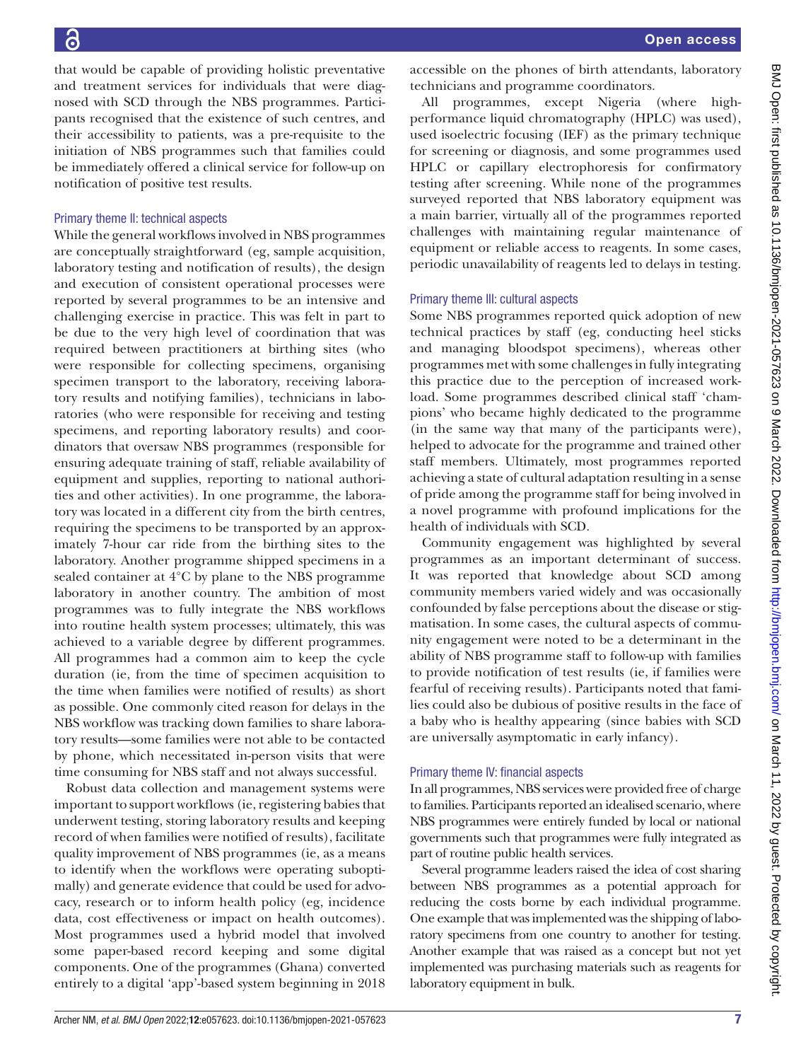that would be capable of providing holistic preventative and treatment services for individuals that were diagnosed with SCD through the NBS programmes. Participants recognised that the existence of such centres, and their accessibility to patients, was a pre-requisite to the initiation of NBS programmes such that families could be immediately offered a clinical service for follow-up on notification of positive test results.

#### Primary theme II: technical aspects

While the general workflows involved in NBS programmes are conceptually straightforward (eg, sample acquisition, laboratory testing and notification of results), the design and execution of consistent operational processes were reported by several programmes to be an intensive and challenging exercise in practice. This was felt in part to be due to the very high level of coordination that was required between practitioners at birthing sites (who were responsible for collecting specimens, organising specimen transport to the laboratory, receiving laboratory results and notifying families), technicians in laboratories (who were responsible for receiving and testing specimens, and reporting laboratory results) and coordinators that oversaw NBS programmes (responsible for ensuring adequate training of staff, reliable availability of equipment and supplies, reporting to national authorities and other activities). In one programme, the laboratory was located in a different city from the birth centres, requiring the specimens to be transported by an approximately 7-hour car ride from the birthing sites to the laboratory. Another programme shipped specimens in a sealed container at 4°C by plane to the NBS programme laboratory in another country. The ambition of most programmes was to fully integrate the NBS workflows into routine health system processes; ultimately, this was achieved to a variable degree by different programmes. All programmes had a common aim to keep the cycle duration (ie, from the time of specimen acquisition to the time when families were notified of results) as short as possible. One commonly cited reason for delays in the NBS workflow was tracking down families to share laboratory results—some families were not able to be contacted by phone, which necessitated in-person visits that were time consuming for NBS staff and not always successful.

Robust data collection and management systems were important to support workflows (ie, registering babies that underwent testing, storing laboratory results and keeping record of when families were notified of results), facilitate quality improvement of NBS programmes (ie, as a means to identify when the workflows were operating suboptimally) and generate evidence that could be used for advocacy, research or to inform health policy (eg, incidence data, cost effectiveness or impact on health outcomes). Most programmes used a hybrid model that involved some paper-based record keeping and some digital components. One of the programmes (Ghana) converted entirely to a digital 'app'-based system beginning in 2018

accessible on the phones of birth attendants, laboratory technicians and programme coordinators.

All programmes, except Nigeria (where highperformance liquid chromatography (HPLC) was used), used isoelectric focusing (IEF) as the primary technique for screening or diagnosis, and some programmes used HPLC or capillary electrophoresis for confirmatory testing after screening. While none of the programmes surveyed reported that NBS laboratory equipment was a main barrier, virtually all of the programmes reported challenges with maintaining regular maintenance of equipment or reliable access to reagents. In some cases, periodic unavailability of reagents led to delays in testing.

#### Primary theme III: cultural aspects

Some NBS programmes reported quick adoption of new technical practices by staff (eg, conducting heel sticks and managing bloodspot specimens), whereas other programmes met with some challenges in fully integrating this practice due to the perception of increased workload. Some programmes described clinical staff 'champions' who became highly dedicated to the programme (in the same way that many of the participants were), helped to advocate for the programme and trained other staff members. Ultimately, most programmes reported achieving a state of cultural adaptation resulting in a sense of pride among the programme staff for being involved in a novel programme with profound implications for the health of individuals with SCD.

Community engagement was highlighted by several programmes as an important determinant of success. It was reported that knowledge about SCD among community members varied widely and was occasionally confounded by false perceptions about the disease or stigmatisation. In some cases, the cultural aspects of community engagement were noted to be a determinant in the ability of NBS programme staff to follow-up with families to provide notification of test results (ie, if families were fearful of receiving results). Participants noted that families could also be dubious of positive results in the face of a baby who is healthy appearing (since babies with SCD are universally asymptomatic in early infancy).

### Primary theme IV: financial aspects

In all programmes, NBS services were provided free of charge to families. Participants reported an idealised scenario, where NBS programmes were entirely funded by local or national governments such that programmes were fully integrated as part of routine public health services.

Several programme leaders raised the idea of cost sharing between NBS programmes as a potential approach for reducing the costs borne by each individual programme. One example that was implemented was the shipping of laboratory specimens from one country to another for testing. Another example that was raised as a concept but not yet implemented was purchasing materials such as reagents for laboratory equipment in bulk.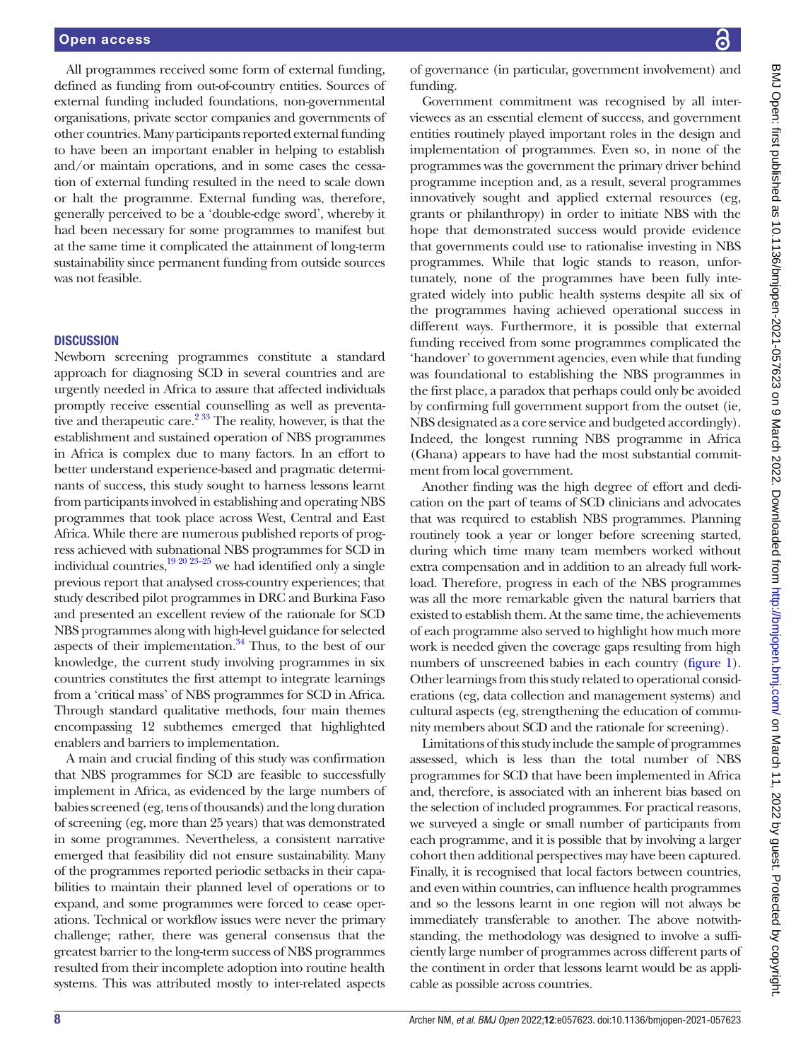All programmes received some form of external funding, defined as funding from out-of-country entities. Sources of external funding included foundations, non-governmental organisations, private sector companies and governments of other countries. Many participants reported external funding to have been an important enabler in helping to establish and/or maintain operations, and in some cases the cessation of external funding resulted in the need to scale down or halt the programme. External funding was, therefore, generally perceived to be a 'double-edge sword', whereby it had been necessary for some programmes to manifest but at the same time it complicated the attainment of long-term sustainability since permanent funding from outside sources was not feasible.

#### **DISCUSSION**

Newborn screening programmes constitute a standard approach for diagnosing SCD in several countries and are urgently needed in Africa to assure that affected individuals promptly receive essential counselling as well as preventative and therapeutic care. $2^{33}$  The reality, however, is that the establishment and sustained operation of NBS programmes in Africa is complex due to many factors. In an effort to better understand experience-based and pragmatic determinants of success, this study sought to harness lessons learnt from participants involved in establishing and operating NBS programmes that took place across West, Central and East Africa. While there are numerous published reports of progress achieved with subnational NBS programmes for SCD in individual countries, $\frac{19\,20\,23-25}{8}$  we had identified only a single previous report that analysed cross-country experiences; that study described pilot programmes in DRC and Burkina Faso and presented an excellent review of the rationale for SCD NBS programmes along with high-level guidance for selected aspects of their implementation. $34$  Thus, to the best of our knowledge, the current study involving programmes in six countries constitutes the first attempt to integrate learnings from a 'critical mass' of NBS programmes for SCD in Africa. Through standard qualitative methods, four main themes encompassing 12 subthemes emerged that highlighted enablers and barriers to implementation.

A main and crucial finding of this study was confirmation that NBS programmes for SCD are feasible to successfully implement in Africa, as evidenced by the large numbers of babies screened (eg, tens of thousands) and the long duration of screening (eg, more than 25 years) that was demonstrated in some programmes. Nevertheless, a consistent narrative emerged that feasibility did not ensure sustainability. Many of the programmes reported periodic setbacks in their capabilities to maintain their planned level of operations or to expand, and some programmes were forced to cease operations. Technical or workflow issues were never the primary challenge; rather, there was general consensus that the greatest barrier to the long-term success of NBS programmes resulted from their incomplete adoption into routine health systems. This was attributed mostly to inter-related aspects

of governance (in particular, government involvement) and funding.

Government commitment was recognised by all interviewees as an essential element of success, and government entities routinely played important roles in the design and implementation of programmes. Even so, in none of the programmes was the government the primary driver behind programme inception and, as a result, several programmes innovatively sought and applied external resources (eg, grants or philanthropy) in order to initiate NBS with the hope that demonstrated success would provide evidence that governments could use to rationalise investing in NBS programmes. While that logic stands to reason, unfortunately, none of the programmes have been fully integrated widely into public health systems despite all six of the programmes having achieved operational success in different ways. Furthermore, it is possible that external funding received from some programmes complicated the 'handover' to government agencies, even while that funding was foundational to establishing the NBS programmes in the first place, a paradox that perhaps could only be avoided by confirming full government support from the outset (ie, NBS designated as a core service and budgeted accordingly). Indeed, the longest running NBS programme in Africa (Ghana) appears to have had the most substantial commitment from local government.

Another finding was the high degree of effort and dedication on the part of teams of SCD clinicians and advocates that was required to establish NBS programmes. Planning routinely took a year or longer before screening started, during which time many team members worked without extra compensation and in addition to an already full workload. Therefore, progress in each of the NBS programmes was all the more remarkable given the natural barriers that existed to establish them. At the same time, the achievements of each programme also served to highlight how much more work is needed given the coverage gaps resulting from high numbers of unscreened babies in each country [\(figure](#page-3-0) 1). Other learnings from this study related to operational considerations (eg, data collection and management systems) and cultural aspects (eg, strengthening the education of community members about SCD and the rationale for screening).

Limitations of this study include the sample of programmes assessed, which is less than the total number of NBS programmes for SCD that have been implemented in Africa and, therefore, is associated with an inherent bias based on the selection of included programmes. For practical reasons, we surveyed a single or small number of participants from each programme, and it is possible that by involving a larger cohort then additional perspectives may have been captured. Finally, it is recognised that local factors between countries, and even within countries, can influence health programmes and so the lessons learnt in one region will not always be immediately transferable to another. The above notwithstanding, the methodology was designed to involve a sufficiently large number of programmes across different parts of the continent in order that lessons learnt would be as applicable as possible across countries.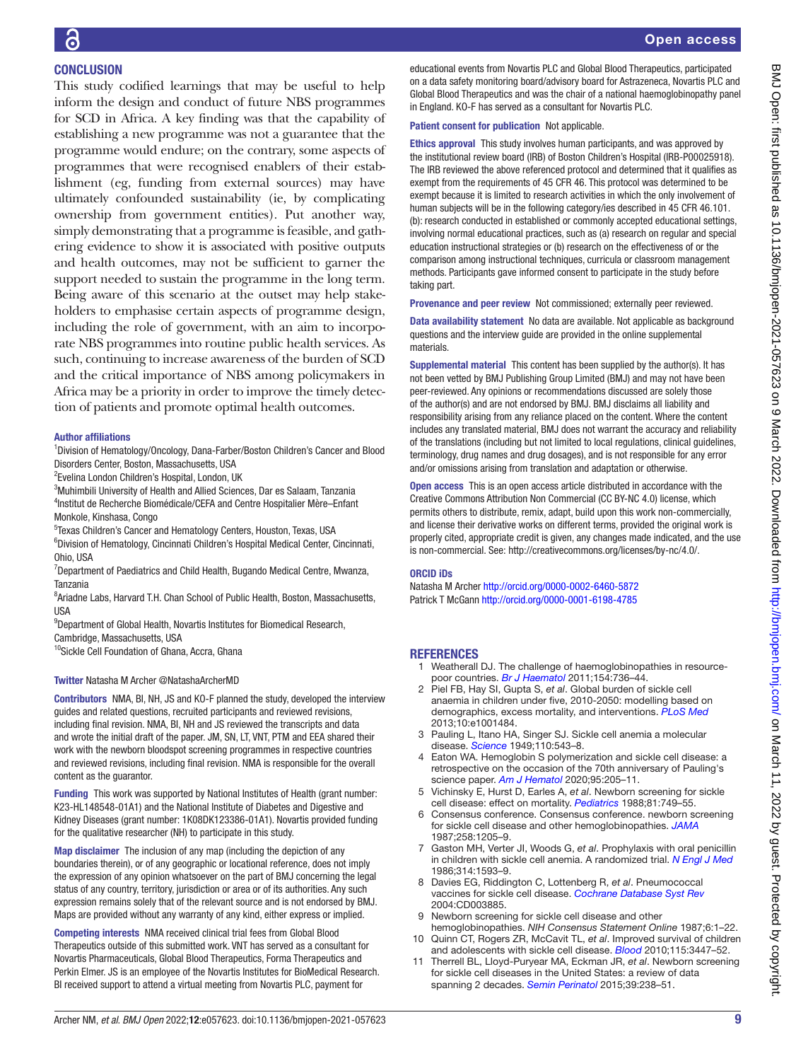**CONCLUSION** 

BMJ Open: first published as 10.1136/bmjopen-2021-057623 on 9 March 2022. Downloaded from http://bmjopen.bmj.com/ on March 11, 2022 by guest. Protected by copyright BMJ Open: first published as 10.1136/bmjopen-2021-057823 on 9 March 2022. Downloaded from <http://bmjopen.bmj.com/> on March 11, 2022 by guest. Protected by copyright.

Africa may be a priority in order to improve the timely detection of patients and promote optimal health outcomes. Author affiliations <sup>1</sup> Division of Hematology/Oncology, Dana-Farber/Boston Children's Cancer and Blood Disorders Center, Boston, Massachusetts, USA <sup>2</sup>Evelina London Children's Hospital, London, UK 3 Muhimbili University of Health and Allied Sciences, Dar es Salaam, Tanzania 4 Institut de Recherche Biomédicale/CEFA and Centre Hospitalier Mère–Enfant Monkole, Kinshasa, Congo 5 Texas Children's Cancer and Hematology Centers, Houston, Texas, USA <sup>6</sup>Division of Hematology, Cincinnati Children's Hospital Medical Center, Cincinnati, <sup>7</sup>Department of Paediatrics and Child Health, Bugando Medical Centre, Mwanza, <sup>8</sup> Ariadne Labs, Harvard T.H. Chan School of Public Health, Boston, Massachusetts, <sup>9</sup>Department of Global Health, Novartis Institutes for Biomedical Research, Cambridge, Massachusetts, USA <sup>10</sup>Sickle Cell Foundation of Ghana, Accra, Ghana ORCID iDs **REFERENCES** 

#### Twitter Natasha M Archer [@NatashaArcherMD](https://twitter.com/NatashaArcherMD)

Ohio, USA

Tanzania

USA

Contributors NMA, BI, NH, JS and KO-F planned the study, developed the interview guides and related questions, recruited participants and reviewed revisions, including final revision. NMA, BI, NH and JS reviewed the transcripts and data and wrote the initial draft of the paper. JM, SN, LT, VNT, PTM and EEA shared their work with the newborn bloodspot screening programmes in respective countries and reviewed revisions, including final revision. NMA is responsible for the overall content as the guarantor.

This study codified learnings that may be useful to help inform the design and conduct of future NBS programmes for SCD in Africa. A key finding was that the capability of establishing a new programme was not a guarantee that the programme would endure; on the contrary, some aspects of programmes that were recognised enablers of their establishment (eg, funding from external sources) may have ultimately confounded sustainability (ie, by complicating ownership from government entities). Put another way, simply demonstrating that a programme is feasible, and gathering evidence to show it is associated with positive outputs and health outcomes, may not be sufficient to garner the support needed to sustain the programme in the long term. Being aware of this scenario at the outset may help stakeholders to emphasise certain aspects of programme design, including the role of government, with an aim to incorporate NBS programmes into routine public health services. As such, continuing to increase awareness of the burden of SCD and the critical importance of NBS among policymakers in

Funding This work was supported by National Institutes of Health (grant number: K23-HL148548-01A1) and the National Institute of Diabetes and Digestive and Kidney Diseases (grant number: 1K08DK123386-01A1). Novartis provided funding for the qualitative researcher (NH) to participate in this study.

Map disclaimer The inclusion of any map (including the depiction of any boundaries therein), or of any geographic or locational reference, does not imply the expression of any opinion whatsoever on the part of BMJ concerning the legal status of any country, territory, jurisdiction or area or of its authorities. Any such expression remains solely that of the relevant source and is not endorsed by BMJ. Maps are provided without any warranty of any kind, either express or implied.

Competing interests NMA received clinical trial fees from Global Blood Therapeutics outside of this submitted work. VNT has served as a consultant for Novartis Pharmaceuticals, Global Blood Therapeutics, Forma Therapeutics and Perkin Elmer. JS is an employee of the Novartis Institutes for BioMedical Research. BI received support to attend a virtual meeting from Novartis PLC, payment for

educational events from Novartis PLC and Global Blood Therapeutics, participated on a data safety monitoring board/advisory board for Astrazeneca, Novartis PLC and Global Blood Therapeutics and was the chair of a national haemoglobinopathy panel in England. KO-F has served as a consultant for Novartis PLC.

#### Patient consent for publication Not applicable.

Ethics approval This study involves human participants, and was approved by the institutional review board (IRB) of Boston Children's Hospital (IRB-P00025918). The IRB reviewed the above referenced protocol and determined that it qualifies as exempt from the requirements of 45 CFR 46. This protocol was determined to be exempt because it is limited to research activities in which the only involvement of human subjects will be in the following category/ies described in 45 CFR 46.101. (b): research conducted in established or commonly accepted educational settings, involving normal educational practices, such as (a) research on regular and special education instructional strategies or (b) research on the effectiveness of or the comparison among instructional techniques, curricula or classroom management methods. Participants gave informed consent to participate in the study before taking part.

Provenance and peer review Not commissioned; externally peer reviewed.

Data availability statement No data are available. Not applicable as background questions and the interview guide are provided in the online supplemental materials.

Supplemental material This content has been supplied by the author(s). It has not been vetted by BMJ Publishing Group Limited (BMJ) and may not have been peer-reviewed. Any opinions or recommendations discussed are solely those of the author(s) and are not endorsed by BMJ. BMJ disclaims all liability and responsibility arising from any reliance placed on the content. Where the content includes any translated material, BMJ does not warrant the accuracy and reliability of the translations (including but not limited to local regulations, clinical guidelines, terminology, drug names and drug dosages), and is not responsible for any error and/or omissions arising from translation and adaptation or otherwise.

Open access This is an open access article distributed in accordance with the Creative Commons Attribution Non Commercial (CC BY-NC 4.0) license, which permits others to distribute, remix, adapt, build upon this work non-commercially, and license their derivative works on different terms, provided the original work is properly cited, appropriate credit is given, any changes made indicated, and the use is non-commercial. See: [http://creativecommons.org/licenses/by-nc/4.0/.](http://creativecommons.org/licenses/by-nc/4.0/)

Natasha M Archer <http://orcid.org/0000-0002-6460-5872> Patrick T McGann <http://orcid.org/0000-0001-6198-4785>

- <span id="page-8-0"></span>1 Weatherall DJ. The challenge of haemoglobinopathies in resourcepoor countries. *[Br J Haematol](http://dx.doi.org/10.1111/j.1365-2141.2011.08742.x)* 2011;154:736–44.
- <span id="page-8-6"></span>2 Piel FB, Hay SI, Gupta S, *et al*. Global burden of sickle cell anaemia in children under five, 2010-2050: modelling based on demographics, excess mortality, and interventions. *[PLoS Med](http://dx.doi.org/10.1371/journal.pmed.1001484)* 2013;10:e1001484.
- <span id="page-8-1"></span>3 Pauling L, Itano HA, Singer SJ. Sickle cell anemia a molecular disease. *[Science](http://dx.doi.org/10.1126/science.110.2865.543)* 1949;110:543–8.
- <span id="page-8-2"></span>4 Eaton WA. Hemoglobin S polymerization and sickle cell disease: a retrospective on the occasion of the 70th anniversary of Pauling's science paper. *[Am J Hematol](http://dx.doi.org/10.1002/ajh.25687)* 2020;95:205–11.
- <span id="page-8-3"></span>5 Vichinsky E, Hurst D, Earles A, *et al*. Newborn screening for sickle cell disease: effect on mortality. *[Pediatrics](http://dx.doi.org/10.1542/peds.81.6.749)* 1988;81:749–55.
- 6 Consensus conference. Consensus conference. newborn screening for sickle cell disease and other hemoglobinopathies. *[JAMA](http://dx.doi.org/10.1001/jama.1987.03400090089040)* 1987;258:1205–9.
- <span id="page-8-4"></span>7 Gaston MH, Verter JI, Woods G, *et al*. Prophylaxis with oral penicillin in children with sickle cell anemia. A randomized trial. *[N Engl J Med](http://dx.doi.org/10.1056/NEJM198606193142501)* 1986;314:1593–9.
- 8 Davies EG, Riddington C, Lottenberg R, *et al*. Pneumococcal vaccines for sickle cell disease. *[Cochrane Database Syst Rev](http://dx.doi.org/10.1002/14651858.CD003885.pub2)* 2004:CD003885.
- <span id="page-8-5"></span>9 Newborn screening for sickle cell disease and other hemoglobinopathies. *NIH Consensus Statement Online* 1987;6:1–22.
- 10 Quinn CT, Rogers ZR, McCavit TL, *et al*. Improved survival of children and adolescents with sickle cell disease. *[Blood](http://dx.doi.org/10.1182/blood-2009-07-233700)* 2010;115:3447–52.
- 11 Therrell BL, Lloyd-Puryear MA, Eckman JR, *et al*. Newborn screening for sickle cell diseases in the United States: a review of data spanning 2 decades. *[Semin Perinatol](http://dx.doi.org/10.1053/j.semperi.2015.03.008)* 2015;39:238–51.